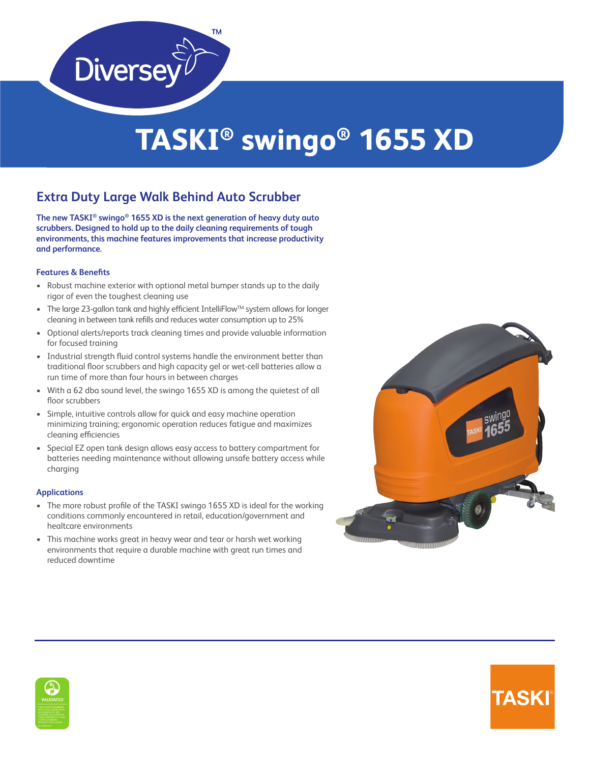

# **TASKI® swingo® 1655 XD**

## **Extra Duty Large Walk Behind Auto Scrubber**

**The new TASKI® swingo® 1655 XD is the next generation of heavy duty auto scrubbers. Designed to hold up to the daily cleaning requirements of tough environments, this machine features improvements that increase productivity and performance.**

### **Features & Benefits**

- Robust machine exterior with optional metal bumper stands up to the daily rigor of even the toughest cleaning use
- The large 23-gallon tank and highly efficient IntelliFlow<sup>TM</sup> system allows for longer cleaning in between tank refills and reduces water consumption up to 25%
- Optional alerts/reports track cleaning times and provide valuable information for focused training
- Industrial strength fluid control systems handle the environment better than traditional floor scrubbers and high capacity gel or wet-cell batteries allow a run time of more than four hours in between charges
- With a 62 dba sound level, the swingo 1655 XD is among the quietest of all floor scrubbers
- Simple, intuitive controls allow for quick and easy machine operation minimizing training; ergonomic operation reduces fatigue and maximizes cleaning efficiencies
- Special EZ open tank design allows easy access to battery compartment for batteries needing maintenance without allowing unsafe battery access while charging

#### **Applications**

- The more robust profile of the TASKI swingo 1655 XD is ideal for the working conditions commonly encountered in retail, education/government and healtcare environments
- This machine works great in heavy wear and tear or harsh wet working environments that require a durable machine with great run times and reduced downtime